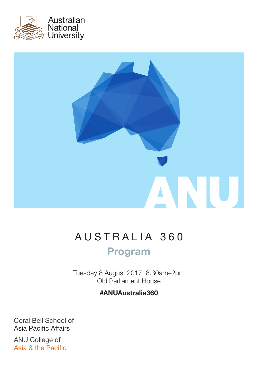



# AUSTRALIA 360 Program

Tuesday 8 August 2017, 8.30am–2pm Old Parliament House

#### #ANUAustralia360

Coral Bell School of Asia Pacific Affairs

ANU College of Asia & the Pacific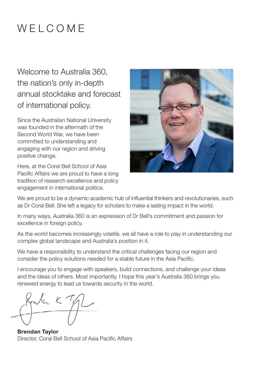## WELCOME

Welcome to Australia 360, the nation's only in-depth annual stocktake and forecast of international policy.

Since the Australian National University was founded in the aftermath of the Second World War, we have been committed to understanding and engaging with our region and driving positive change.

Here, at the Coral Bell School of Asia Pacific Affairs we are proud to have a long tradition of research excellence and policy engagement in international politics.



We are proud to be a dynamic academic hub of influential thinkers and revolutionaries, such as Dr Coral Bell. She left a legacy for scholars to make a lasting impact in the world.

In many ways, Australia 360 is an expression of Dr Bell's commitment and passion for excellence in foreign policy.

As the world becomes increasingly volatile, we all have a role to play in understanding our complex global landscape and Australia's position in it.

We have a responsibility to understand the critical challenges facing our region and consider the policy solutions needed for a stable future in the Asia Pacific.

I encourage you to engage with speakers, build connections, and challenge your ideas and the ideas of others. Most importantly, I hope this year's Australia 360 brings you renewed energy to lead us towards security in the world.

when K Ty

Brendan Taylor Director, Coral Bell School of Asia Pacific Affairs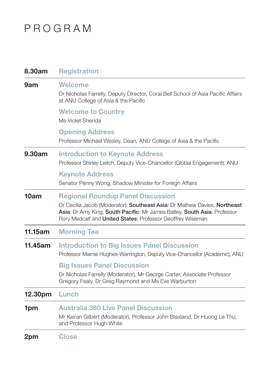## PROGRAM

| 8.30am  | <b>Registration</b>                                                                                                                                                                                                                                             |
|---------|-----------------------------------------------------------------------------------------------------------------------------------------------------------------------------------------------------------------------------------------------------------------|
| 9am     | <b>Welcome</b><br>Dr Nicholas Farrelly, Deputy Director, Coral Bell School of Asia Pacific Affairs<br>at ANU College of Asia & the Pacific                                                                                                                      |
|         | <b>Welcome to Country</b><br>Ms Violet Sherida                                                                                                                                                                                                                  |
|         | <b>Opening Address</b><br>Professor Michael Wesley, Dean, ANU College of Asia & the Pacific                                                                                                                                                                     |
| 9.30am  | <b>Introduction to Keynote Address</b><br>Professor Shirley Leitch, Deputy Vice-Chancellor (Global Engagement), ANU                                                                                                                                             |
|         | <b>Keynote Address</b><br>Senator Penny Wong, Shadow Minister for Foreign Affairs                                                                                                                                                                               |
| 10am    | <b>Regional Roundup Panel Discussion</b><br>Dr Cecilia Jacob (Moderator), Southeast Asia: Dr Mathew Davies, Northeast<br>Asia: Dr Amy King, South Pacific: Mr James Batley, South Asia: Professor<br>Rory Medcalf and United States: Professor Geoffrey Wiseman |
| 11.15am | <b>Morning Tea</b>                                                                                                                                                                                                                                              |
| 11.45am | <b>Introduction to Big Issues Panel Discussion</b><br>Professor Marnie Hughes-Warrington, Deputy Vice-Chancellor (Academic), ANU                                                                                                                                |
|         | <b>Big Issues Panel Discussion</b><br>Dr Nicholas Farrelly (Moderator), Mr George Carter, Associate Professor<br>Gregory Fealy, Dr Greg Raymond and Ms Eve Warburton                                                                                            |
| 12.30pm | Lunch                                                                                                                                                                                                                                                           |
| 1pm     | <b>Australia 360 Live Panel Discussion</b><br>Mr Keiran Gilbert (Moderator), Professor John Blaxland, Dr Huong Le Thu,<br>and Professor Hugh White                                                                                                              |
| 2pm     | <b>Close</b>                                                                                                                                                                                                                                                    |